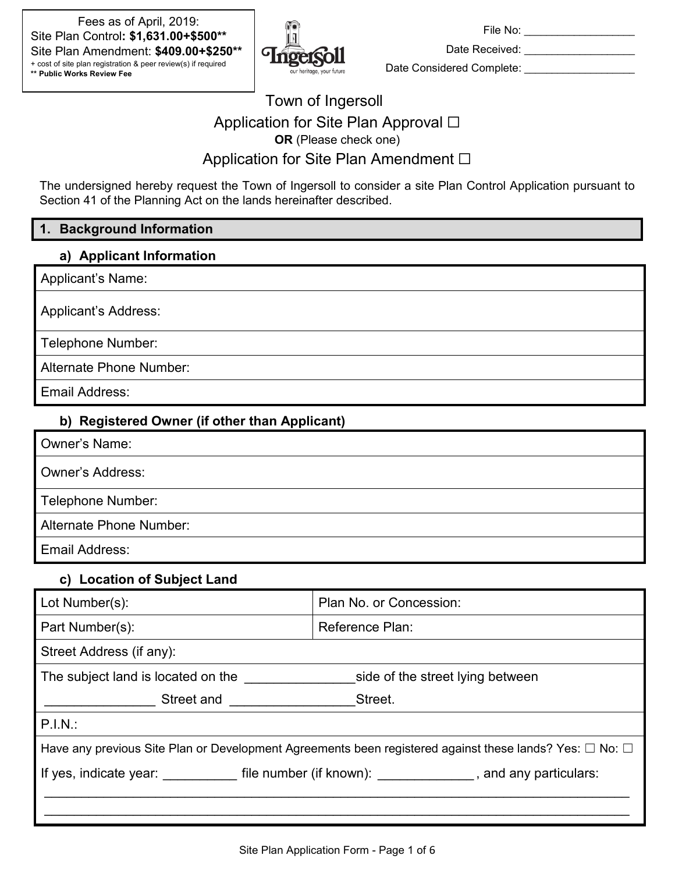Fees as of April, 2019: Site Plan Control**: \$1,631.00+\$500\*\*** Site Plan Amendment: **\$409.00+\$250\*\*** + cost of site plan registration & peer review(s) if required **\*\* Public Works Review Fee**



File No: \_\_\_\_\_\_\_\_\_\_\_\_\_\_\_\_\_\_\_\_

Date Received: \_\_\_\_\_\_\_\_\_\_\_\_\_\_\_\_\_\_\_\_ Date Considered Complete: \_\_\_\_\_\_\_\_\_\_\_\_\_\_\_\_\_\_\_\_

# Town of Ingersoll Application for Site Plan Approval □ **OR** (Please check one) Application for Site Plan Amendment □

The undersigned hereby request the Town of Ingersoll to consider a site Plan Control Application pursuant to Section 41 of the Planning Act on the lands hereinafter described.

## **1. Background Information**

#### **a) Applicant Information**

Applicant's Name:

Applicant's Address:

Telephone Number:

Alternate Phone Number:

Email Address:

## **b) Registered Owner (if other than Applicant)**

| <b>Owner's Name:</b>    |
|-------------------------|
| <b>Owner's Address:</b> |
| Telephone Number:       |
| Alternate Phone Number: |
| Email Address:          |

#### **c) Location of Subject Land**

| Lot Number(s):                                                                                                    | Plan No. or Concession:                                                                                        |  |  |  |
|-------------------------------------------------------------------------------------------------------------------|----------------------------------------------------------------------------------------------------------------|--|--|--|
| Part Number(s):                                                                                                   | Reference Plan:                                                                                                |  |  |  |
| Street Address (if any):                                                                                          |                                                                                                                |  |  |  |
| The subject land is located on the<br>side of the street lying between                                            |                                                                                                                |  |  |  |
| Street and                                                                                                        | Street.                                                                                                        |  |  |  |
| $P.I.N.$ :                                                                                                        |                                                                                                                |  |  |  |
| Have any previous Site Plan or Development Agreements been registered against these lands? Yes: $\Box$ No: $\Box$ |                                                                                                                |  |  |  |
|                                                                                                                   | If yes, indicate year: file number (if known): The same state of the state of the state of the state of the st |  |  |  |
|                                                                                                                   |                                                                                                                |  |  |  |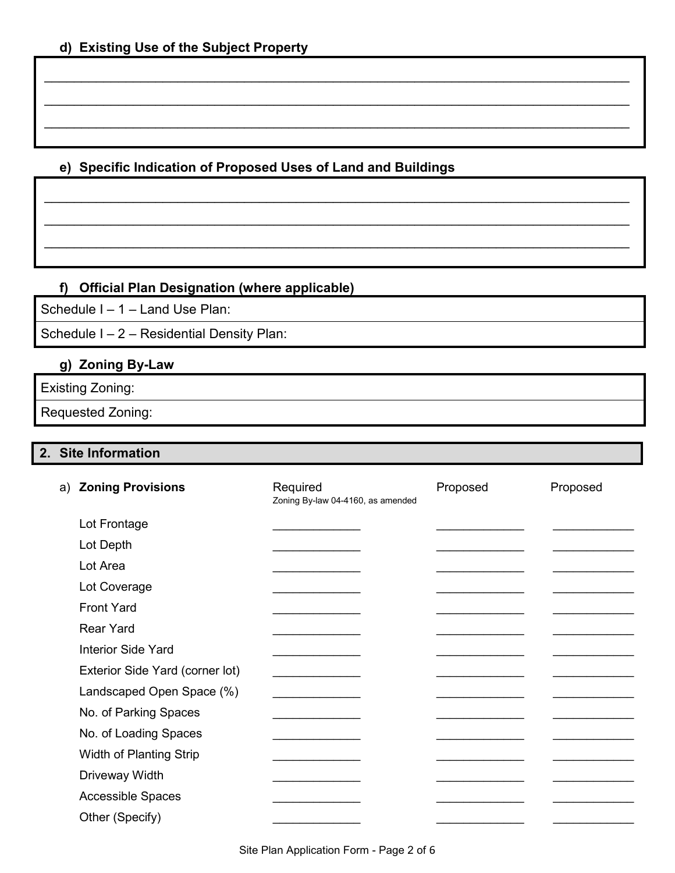## **e) Specific Indication of Proposed Uses of Land and Buildings**

\_\_\_\_\_\_\_\_\_\_\_\_\_\_\_\_\_\_\_\_\_\_\_\_\_\_\_\_\_\_\_\_\_\_\_\_\_\_\_\_\_\_\_\_\_\_\_\_\_\_\_\_\_\_\_\_\_\_\_\_\_\_\_\_\_\_\_\_\_\_\_\_\_\_\_\_\_\_\_

\_\_\_\_\_\_\_\_\_\_\_\_\_\_\_\_\_\_\_\_\_\_\_\_\_\_\_\_\_\_\_\_\_\_\_\_\_\_\_\_\_\_\_\_\_\_\_\_\_\_\_\_\_\_\_\_\_\_\_\_\_\_\_\_\_\_\_\_\_\_\_\_\_\_\_\_\_\_\_

\_\_\_\_\_\_\_\_\_\_\_\_\_\_\_\_\_\_\_\_\_\_\_\_\_\_\_\_\_\_\_\_\_\_\_\_\_\_\_\_\_\_\_\_\_\_\_\_\_\_\_\_\_\_\_\_\_\_\_\_\_\_\_\_\_\_\_\_\_\_\_\_\_\_\_\_\_\_\_

\_\_\_\_\_\_\_\_\_\_\_\_\_\_\_\_\_\_\_\_\_\_\_\_\_\_\_\_\_\_\_\_\_\_\_\_\_\_\_\_\_\_\_\_\_\_\_\_\_\_\_\_\_\_\_\_\_\_\_\_\_\_\_\_\_\_\_\_\_\_\_\_\_\_\_\_\_\_\_

\_\_\_\_\_\_\_\_\_\_\_\_\_\_\_\_\_\_\_\_\_\_\_\_\_\_\_\_\_\_\_\_\_\_\_\_\_\_\_\_\_\_\_\_\_\_\_\_\_\_\_\_\_\_\_\_\_\_\_\_\_\_\_\_\_\_\_\_\_\_\_\_\_\_\_\_\_\_\_

\_\_\_\_\_\_\_\_\_\_\_\_\_\_\_\_\_\_\_\_\_\_\_\_\_\_\_\_\_\_\_\_\_\_\_\_\_\_\_\_\_\_\_\_\_\_\_\_\_\_\_\_\_\_\_\_\_\_\_\_\_\_\_\_\_\_\_\_\_\_\_\_\_\_\_\_\_\_\_

# **f) Official Plan Designation (where applicable)**

Schedule I – 1 – Land Use Plan:

Schedule I – 2 – Residential Density Plan:

## **g) Zoning By-Law**

Existing Zoning:

Requested Zoning:

## **2. Site Information**

| a) Zoning Provisions            | Required<br>Zoning By-law 04-4160, as amended | Proposed | Proposed |
|---------------------------------|-----------------------------------------------|----------|----------|
| Lot Frontage                    |                                               |          |          |
| Lot Depth                       |                                               |          |          |
| Lot Area                        |                                               |          |          |
| Lot Coverage                    |                                               |          |          |
| <b>Front Yard</b>               |                                               |          |          |
| <b>Rear Yard</b>                |                                               |          |          |
| <b>Interior Side Yard</b>       |                                               |          |          |
| Exterior Side Yard (corner lot) |                                               |          |          |
| Landscaped Open Space (%)       |                                               |          |          |
| No. of Parking Spaces           |                                               |          |          |
| No. of Loading Spaces           |                                               |          |          |
| Width of Planting Strip         |                                               |          |          |
| Driveway Width                  |                                               |          |          |
| <b>Accessible Spaces</b>        |                                               |          |          |
| Other (Specify)                 |                                               |          |          |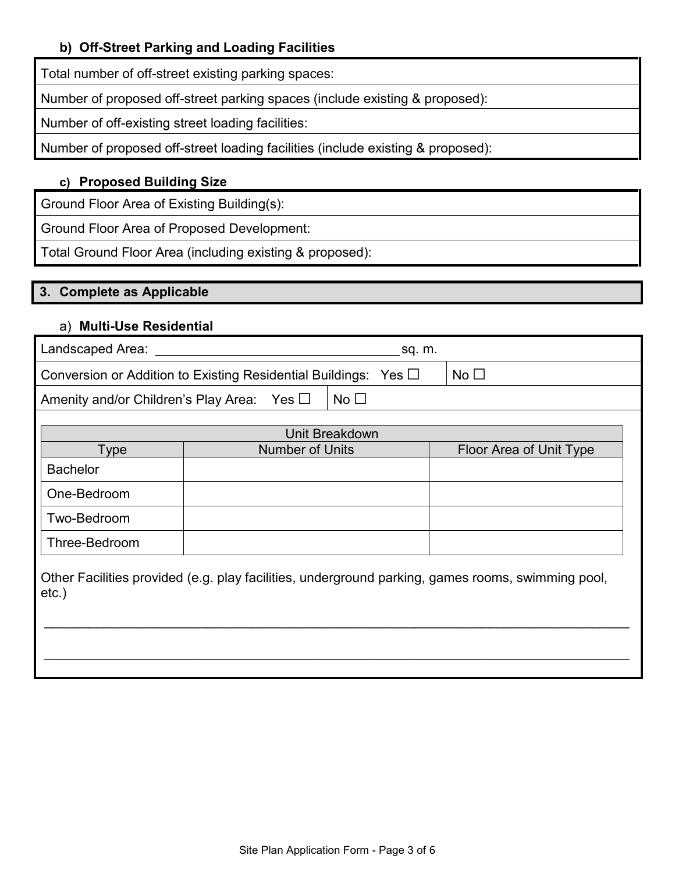## **b) Off-Street Parking and Loading Facilities**

Total number of off-street existing parking spaces:

Number of proposed off-street parking spaces (include existing & proposed):

Number of off-existing street loading facilities:

Number of proposed off-street loading facilities (include existing & proposed):

## **c) Proposed Building Size**

Ground Floor Area of Existing Building(s):

Ground Floor Area of Proposed Development:

Total Ground Floor Area (including existing & proposed):

## **3. Complete as Applicable**

## a) **Multi-Use Residential**

| Landscaped Area:                                                                                              | sq. m.                 |                |                         |  |
|---------------------------------------------------------------------------------------------------------------|------------------------|----------------|-------------------------|--|
| No $\square$<br>Conversion or Addition to Existing Residential Buildings: Yes $\Box$                          |                        |                |                         |  |
| No $\square$<br>Amenity and/or Children's Play Area: Yes $\Box$                                               |                        |                |                         |  |
|                                                                                                               |                        |                |                         |  |
|                                                                                                               |                        | Unit Breakdown |                         |  |
| Type                                                                                                          | <b>Number of Units</b> |                | Floor Area of Unit Type |  |
| <b>Bachelor</b>                                                                                               |                        |                |                         |  |
| One-Bedroom                                                                                                   |                        |                |                         |  |
| Two-Bedroom                                                                                                   |                        |                |                         |  |
| Three-Bedroom                                                                                                 |                        |                |                         |  |
| Other Facilities provided (e.g. play facilities, underground parking, games rooms, swimming pool,<br>$etc.$ ) |                        |                |                         |  |

\_\_\_\_\_\_\_\_\_\_\_\_\_\_\_\_\_\_\_\_\_\_\_\_\_\_\_\_\_\_\_\_\_\_\_\_\_\_\_\_\_\_\_\_\_\_\_\_\_\_\_\_\_\_\_\_\_\_\_\_\_\_\_\_\_\_\_\_\_\_\_\_\_\_\_\_\_\_\_

\_\_\_\_\_\_\_\_\_\_\_\_\_\_\_\_\_\_\_\_\_\_\_\_\_\_\_\_\_\_\_\_\_\_\_\_\_\_\_\_\_\_\_\_\_\_\_\_\_\_\_\_\_\_\_\_\_\_\_\_\_\_\_\_\_\_\_\_\_\_\_\_\_\_\_\_\_\_\_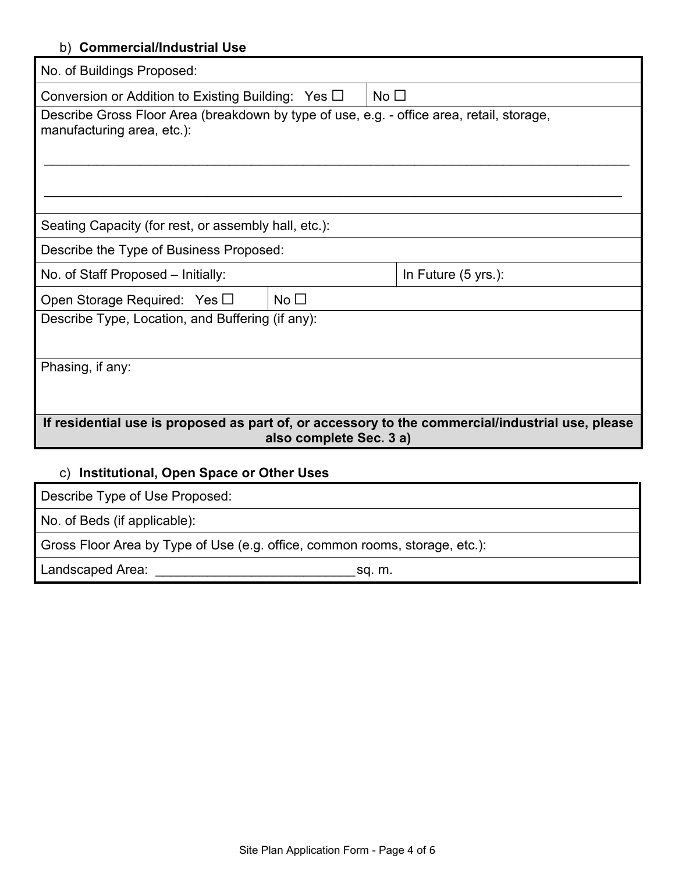## b) **Commercial/Industrial Use**

| No. of Buildings Proposed:                                                                                                  |           |  |  |
|-----------------------------------------------------------------------------------------------------------------------------|-----------|--|--|
| Conversion or Addition to Existing Building: Yes $\Box$                                                                     | No $\Box$ |  |  |
| Describe Gross Floor Area (breakdown by type of use, e.g. - office area, retail, storage,<br>manufacturing area, etc.):     |           |  |  |
| Seating Capacity (for rest, or assembly hall, etc.):                                                                        |           |  |  |
| Describe the Type of Business Proposed:                                                                                     |           |  |  |
| In Future (5 yrs.):<br>No. of Staff Proposed - Initially:                                                                   |           |  |  |
| No $\Box$<br>Open Storage Required: Yes $\square$                                                                           |           |  |  |
| Describe Type, Location, and Buffering (if any):                                                                            |           |  |  |
| Phasing, if any:                                                                                                            |           |  |  |
| If residential use is proposed as part of, or accessory to the commercial/industrial use, please<br>also complete Sec. 3 a) |           |  |  |
| c) Institutional, Open Space or Other Uses                                                                                  |           |  |  |
| Describe Type of Use Proposed:                                                                                              |           |  |  |

No. of Beds (if applicable):

Gross Floor Area by Type of Use (e.g. office, common rooms, storage, etc.):

Landscaped Area: \_\_\_\_\_\_\_\_\_\_\_\_\_\_\_\_\_\_\_\_\_\_\_\_\_\_\_sq. m.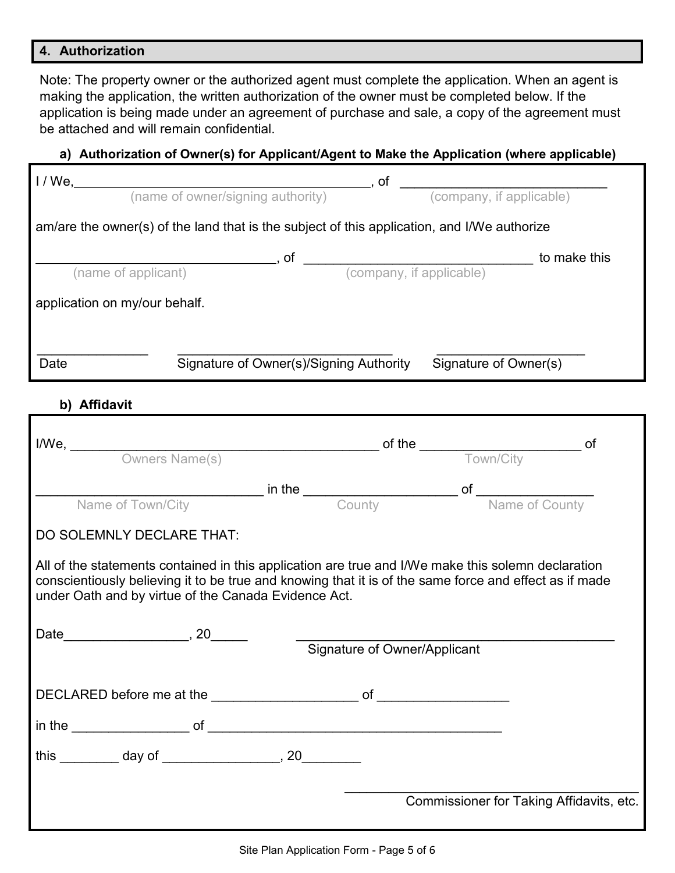#### **4. Authorization**

Note: The property owner or the authorized agent must complete the application. When an agent is making the application, the written authorization of the owner must be completed below. If the application is being made under an agreement of purchase and sale, a copy of the agreement must be attached and will remain confidential.

## **a) Authorization of Owner(s) for Applicant/Agent to Make the Application (where applicable)**

| $1/We$ ,                                                                                    | , of                                    | (company, if applicable) |  |  |
|---------------------------------------------------------------------------------------------|-----------------------------------------|--------------------------|--|--|
|                                                                                             | (name of owner/signing authority)       |                          |  |  |
| am/are the owner(s) of the land that is the subject of this application, and I/We authorize |                                         |                          |  |  |
|                                                                                             | of                                      | to make this             |  |  |
| (name of applicant)                                                                         |                                         | (company, if applicable) |  |  |
| application on my/our behalf.                                                               |                                         |                          |  |  |
| Date                                                                                        | Signature of Owner(s)/Signing Authority | Signature of Owner(s)    |  |  |

# **b) Affidavit**

| Name of Town/City <b>County County County of</b> <u>Name of County</u>                                                                                                                                                                                               |  |                              |                                          |  |
|----------------------------------------------------------------------------------------------------------------------------------------------------------------------------------------------------------------------------------------------------------------------|--|------------------------------|------------------------------------------|--|
| DO SOLEMNLY DECLARE THAT:                                                                                                                                                                                                                                            |  |                              |                                          |  |
| All of the statements contained in this application are true and I/We make this solemn declaration<br>conscientiously believing it to be true and knowing that it is of the same force and effect as if made<br>under Oath and by virtue of the Canada Evidence Act. |  |                              |                                          |  |
|                                                                                                                                                                                                                                                                      |  | Signature of Owner/Applicant |                                          |  |
|                                                                                                                                                                                                                                                                      |  |                              |                                          |  |
|                                                                                                                                                                                                                                                                      |  |                              |                                          |  |
| this _________ day of _________________, 20_________                                                                                                                                                                                                                 |  |                              |                                          |  |
|                                                                                                                                                                                                                                                                      |  |                              | Commissioner for Taking Affidavits, etc. |  |